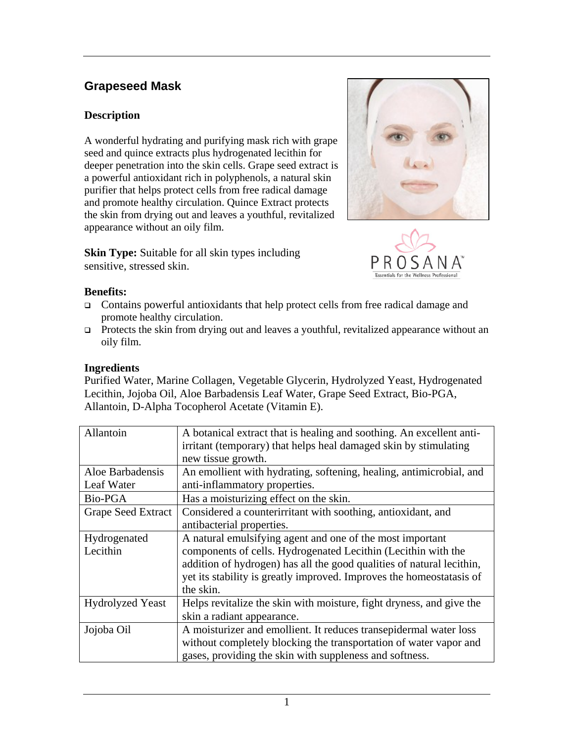# **Grapeseed Mask**

## **Description**

A wonderful hydrating and purifying mask rich with grape seed and quince extracts plus hydrogenated lecithin for deeper penetration into the skin cells. Grape seed extract is a powerful antioxidant rich in polyphenols, a natural skin purifier that helps protect cells from free radical damage and promote healthy circulation. Quince Extract protects the skin from drying out and leaves a youthful, revitalized appearance without an oily film.

**Skin Type:** Suitable for all skin types including sensitive, stressed skin.





#### **Benefits:**

- Contains powerful antioxidants that help protect cells from free radical damage and promote healthy circulation.
- □ Protects the skin from drying out and leaves a youthful, revitalized appearance without an oily film.

#### **Ingredients**

Purified Water, Marine Collagen, Vegetable Glycerin, Hydrolyzed Yeast, Hydrogenated Lecithin, Jojoba Oil, Aloe Barbadensis Leaf Water, Grape Seed Extract, Bio-PGA, Allantoin, D-Alpha Tocopherol Acetate (Vitamin E).

| Allantoin                 | A botanical extract that is healing and soothing. An excellent anti-  |
|---------------------------|-----------------------------------------------------------------------|
|                           | irritant (temporary) that helps heal damaged skin by stimulating      |
|                           | new tissue growth.                                                    |
| Aloe Barbadensis          | An emollient with hydrating, softening, healing, antimicrobial, and   |
| Leaf Water                | anti-inflammatory properties.                                         |
| Bio-PGA                   | Has a moisturizing effect on the skin.                                |
| <b>Grape Seed Extract</b> | Considered a counterirritant with soothing, antioxidant, and          |
|                           | antibacterial properties.                                             |
| Hydrogenated              | A natural emulsifying agent and one of the most important             |
| Lecithin                  | components of cells. Hydrogenated Lecithin (Lecithin with the         |
|                           | addition of hydrogen) has all the good qualities of natural lecithin, |
|                           | yet its stability is greatly improved. Improves the homeostatasis of  |
|                           | the skin.                                                             |
| <b>Hydrolyzed Yeast</b>   | Helps revitalize the skin with moisture, fight dryness, and give the  |
|                           | skin a radiant appearance.                                            |
| Jojoba Oil                | A moisturizer and emollient. It reduces transepidermal water loss     |
|                           | without completely blocking the transportation of water vapor and     |
|                           | gases, providing the skin with suppleness and softness.               |